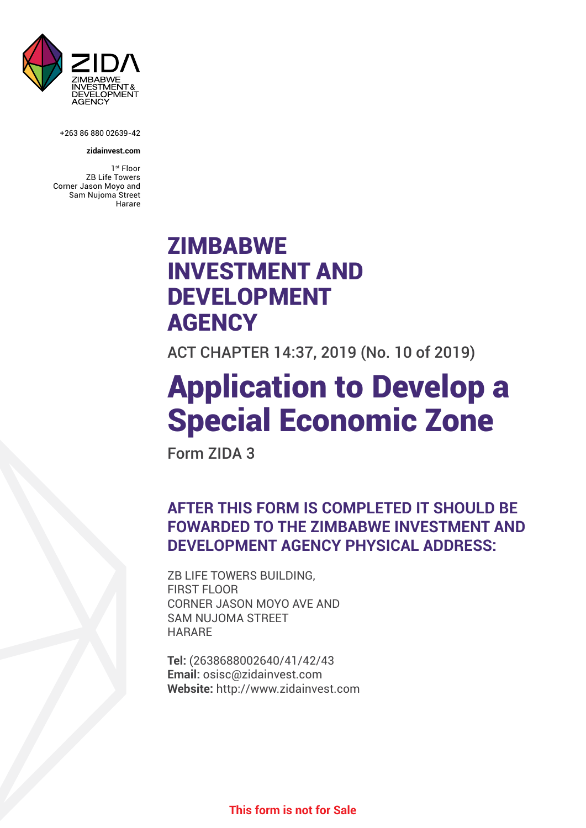

+263 86 880 02639-42

#### **zidainvest.com**

1<sup>st</sup> Floor ZB Life Towers Corner Jason Moyo and Sam Nujoma Street Harare

# ZIMBABWE INVESTMENT AND DEVELOPMENT **AGENCY**

ACT CHAPTER 14:37, 2019 (No. 10 of 2019)

# Application to Develop a Special Economic Zone

Form ZIDA 3

# **AFTER THIS FORM IS COMPLETED IT SHOULD BE FOWARDED TO THE ZIMBABWE INVESTMENT AND DEVELOPMENT AGENCY PHYSICAL ADDRESS:**

ZB LIFE TOWERS BUILDING, FIRST FLOOR CORNER JASON MOYO AVE AND SAM NUJOMA STREET **HARARF** 

**Tel:** (2638688002640/41/42/43 **Email:** osisc@zidainvest.com **Website:** http://www.zidainvest.com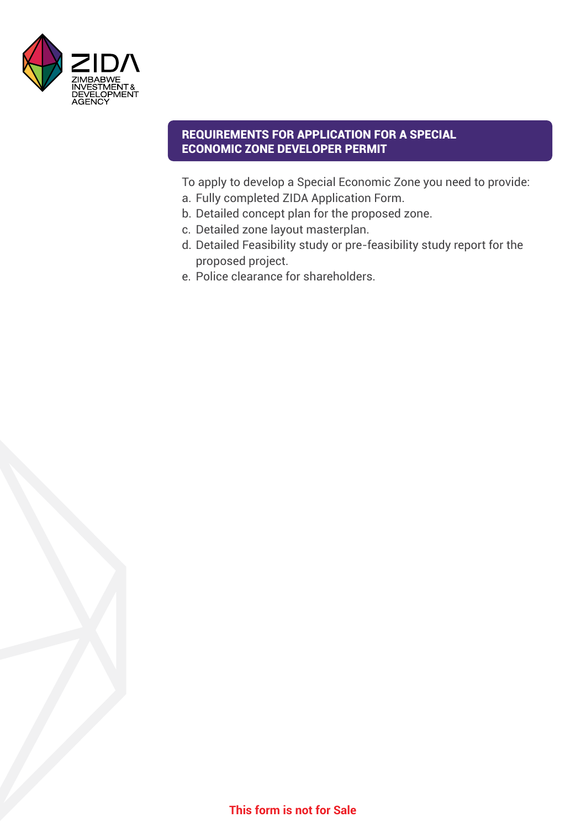

### REQUIREMENTS FOR APPLICATION FOR A SPECIAL ECONOMIC ZONE DEVELOPER PERMIT

To apply to develop a Special Economic Zone you need to provide:

- a. Fully completed ZIDA Application Form.
- b. Detailed concept plan for the proposed zone.
- c. Detailed zone layout masterplan.
- d. Detailed Feasibility study or pre-feasibility study report for the proposed project.
- e. Police clearance for shareholders.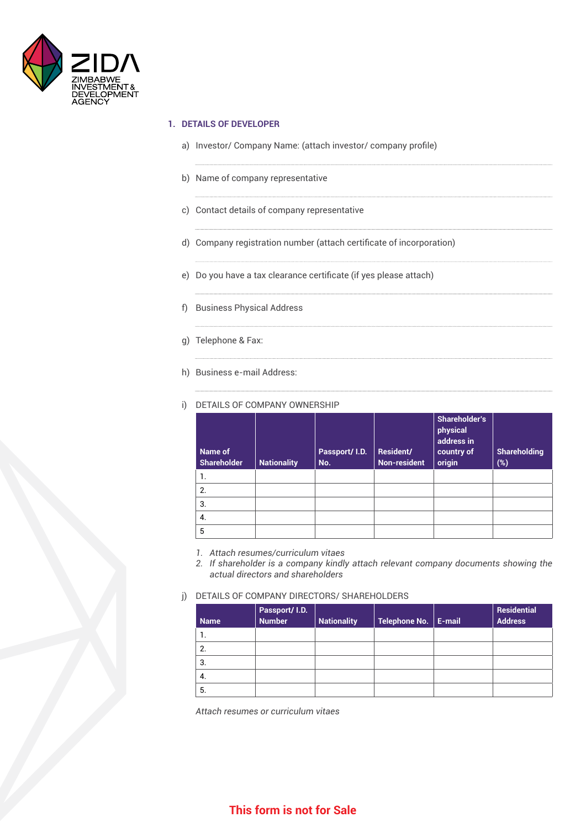

#### **1. DETAILS OF DEVELOPER**

- a) Investor/ Company Name: (attach investor/ company profile)
- b) Name of company representative
- c) Contact details of company representative
- d) Company registration number (attach certificate of incorporation)
- e) Do you have a tax clearance certificate (if yes please attach)
- f) Business Physical Address
- g) Telephone & Fax:
- h) Business e-mail Address:

| Name of<br><b>Shareholder</b> | <b>Nationality</b> | Passport/ I.D.<br>No. | Resident/<br><b>Non-resident</b> | <b>Shareholder's</b><br>physical<br>address in<br>country of<br>origin | <b>Shareholding</b><br>(%) |
|-------------------------------|--------------------|-----------------------|----------------------------------|------------------------------------------------------------------------|----------------------------|
| 1.                            |                    |                       |                                  |                                                                        |                            |
| 2.                            |                    |                       |                                  |                                                                        |                            |
| 3.                            |                    |                       |                                  |                                                                        |                            |
| 4.                            |                    |                       |                                  |                                                                        |                            |
| 5                             |                    |                       |                                  |                                                                        |                            |

i) DETAILS OF COMPANY OWNERSHIP

- *1. Attach resumes/curriculum vitaes*
- *2. If shareholder is a company kindly attach relevant company documents showing the actual directors and shareholders*
- j) DETAILS OF COMPANY DIRECTORS/ SHAREHOLDERS

| <b>Name</b> | Passport/ I.D.<br>Number | <b>Nationality</b> | Telephone No. | E-mail | Residential<br><b>Address</b> |
|-------------|--------------------------|--------------------|---------------|--------|-------------------------------|
| 1.          |                          |                    |               |        |                               |
| 2.          |                          |                    |               |        |                               |
| 3.          |                          |                    |               |        |                               |
| -4.         |                          |                    |               |        |                               |
| -5.         |                          |                    |               |        |                               |

*Attach resumes or curriculum vitaes*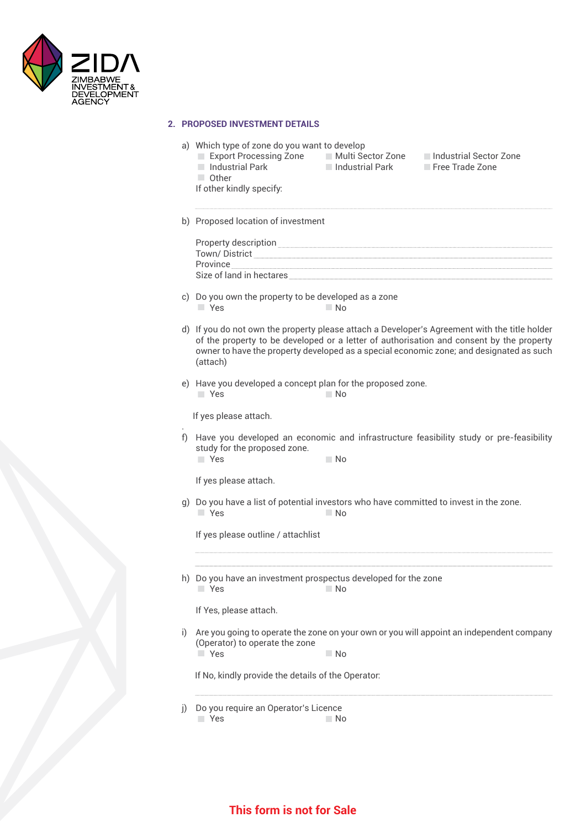

#### **2. PROPOSED INVESTMENT DETAILS**

 $\blacksquare$  Industrial Park

If other kindly specify:

Other

- a) Which type of zone do you want to develop<br>
Export Processing Zone Multi Sector Zone
	- -
	- Export Processing Zone Multi Sector Zone Industrial Sector Zone<br>Industrial Park Industrial Park Free Trade Zone
- b) Proposed location of investment

| Property description     |
|--------------------------|
| Town/District            |
| Province                 |
| Size of land in hectares |
|                          |

- c) Do you own the property to be developed as a zone  $Y$ es  $N$
- d) If you do not own the property please attach a Developer's Agreement with the title holder of the property to be developed or a letter of authorisation and consent by the property owner to have the property developed as a special economic zone; and designated as such (attach)
- e) Have you developed a concept plan for the proposed zone. **No. 2. In the Second Second Second Second Second Second Second Second Second Second Second Second Second Second Second Second Second Second Second Second Second Second Second Second Second Second Second Second Second Seco**

If yes please attach.

.

f) Have you developed an economic and infrastructure feasibility study or pre-feasibility study for the proposed zone. **The Yes No. 2018** 

If yes please attach.

g) Do you have a list of potential investors who have committed to invest in the zone. **The Structure of the Structure of the No. 1999** 

If yes please outline / attachlist

h) Do you have an investment prospectus developed for the zone **The Vestima** No. 2014

If Yes, please attach.

i) Are you going to operate the zone on your own or you will appoint an independent company (Operator) to operate the zone

**No. 2. In the Second Second Second Second Second Second Second Second Second Second Second Second Second Second Second Second Second Second Second Second Second Second Second Second Second Second Second Second Second Seco** 

If No, kindly provide the details of the Operator:

j) Do you require an Operator's Licence

```
The Structure Structure Structure Structure Structure Structure Structure Structure Structure Structure Structure
```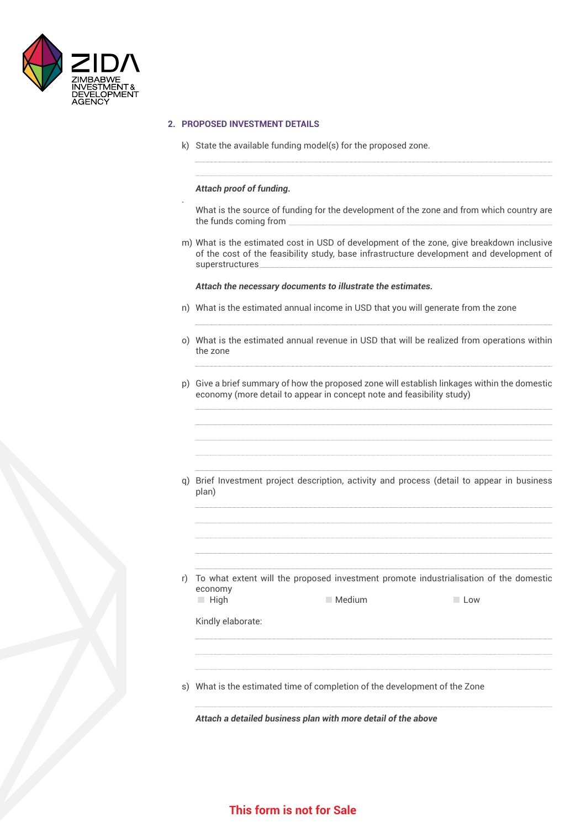

#### **2. PROPOSED INVESTMENT DETAILS**

k) State the available funding model(s) for the proposed zone.

#### *Attach proof of funding.*

.

What is the source of funding for the development of the zone and from which country are the funds coming from

m) What is the estimated cost in USD of development of the zone, give breakdown inclusive of the cost of the feasibility study, base infrastructure development and development of superstructures

#### *Attach the necessary documents to illustrate the estimates.*

- n) What is the estimated annual income in USD that you will generate from the zone
- o) What is the estimated annual revenue in USD that will be realized from operations within the zone
- p) Give a brief summary of how the proposed zone will establish linkages within the domestic economy (more detail to appear in concept note and feasibility study)
- q) Brief Investment project description, activity and process (detail to appear in business plan)
- r) To what extent will the proposed investment promote industrialisation of the domestic economy **Example 1** Medium Medium Low

Kindly elaborate:

s) What is the estimated time of completion of the development of the Zone

*Attach a detailed business plan with more detail of the above*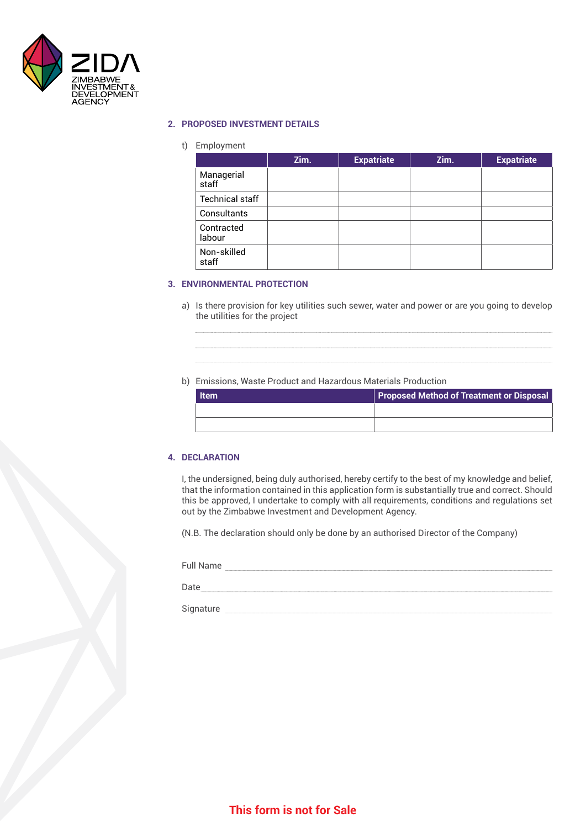

#### **2. PROPOSED INVESTMENT DETAILS**

#### t) Employment

|                        | Zim. | <b>Expatriate</b> | Zim. | <b>Expatriate</b> |
|------------------------|------|-------------------|------|-------------------|
| Managerial<br>staff    |      |                   |      |                   |
| <b>Technical staff</b> |      |                   |      |                   |
| Consultants            |      |                   |      |                   |
| Contracted<br>labour   |      |                   |      |                   |
| Non-skilled<br>staff   |      |                   |      |                   |

#### **3. ENVIRONMENTAL PROTECTION**

a) Is there provision for key utilities such sewer, water and power or are you going to develop the utilities for the project

#### b) Emissions, Waste Product and Hazardous Materials Production

| <b>Item</b> | <b>Proposed Method of Treatment or Disposal</b> |
|-------------|-------------------------------------------------|
|             |                                                 |
|             |                                                 |

#### **4. DECLARATION**

I, the undersigned, being duly authorised, hereby certify to the best of my knowledge and belief, that the information contained in this application form is substantially true and correct. Should this be approved, I undertake to comply with all requirements, conditions and regulations set out by the Zimbabwe Investment and Development Agency.

(N.B. The declaration should only be done by an authorised Director of the Company)

Full Name and the contract of the contract of the contract of the contract of the contract of the contract of the contract of the contract of the contract of the contract of the contract of the contract of the contract of

Date and the contract of the contract of the contract of the contract of the contract of the contract of the contract of the contract of the contract of the contract of the contract of the contract of the contract of the c

Signature